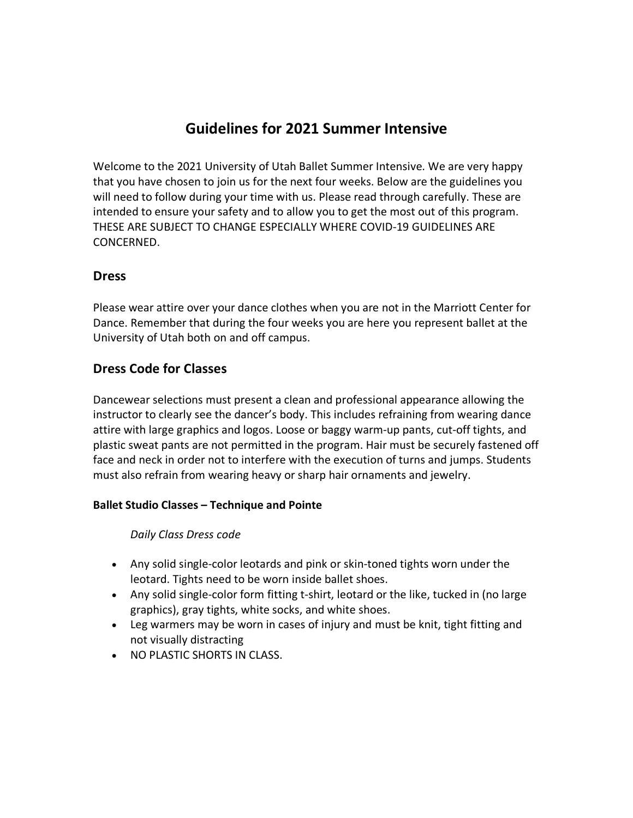# **Guidelines for 2021 Summer Intensive**

Welcome to the 2021 University of Utah Ballet Summer Intensive. We are very happy that you have chosen to join us for the next four weeks. Below are the guidelines you will need to follow during your time with us. Please read through carefully. These are intended to ensure your safety and to allow you to get the most out of this program. THESE ARE SUBJECT TO CHANGE ESPECIALLY WHERE COVID-19 GUIDELINES ARE CONCERNED.

## **Dress**

Please wear attire over your dance clothes when you are not in the Marriott Center for Dance. Remember that during the four weeks you are here you represent ballet at the University of Utah both on and off campus.

# **Dress Code for Classes**

Dancewear selections must present a clean and professional appearance allowing the instructor to clearly see the dancer's body. This includes refraining from wearing dance attire with large graphics and logos. Loose or baggy warm-up pants, cut-off tights, and plastic sweat pants are not permitted in the program. Hair must be securely fastened off face and neck in order not to interfere with the execution of turns and jumps. Students must also refrain from wearing heavy or sharp hair ornaments and jewelry.

#### **Ballet Studio Classes – Technique and Pointe**

*Daily Class Dress code* 

- Any solid single-color leotards and pink or skin-toned tights worn under the leotard. Tights need to be worn inside ballet shoes.
- Any solid single-color form fitting t-shirt, leotard or the like, tucked in (no large graphics), gray tights, white socks, and white shoes.
- Leg warmers may be worn in cases of injury and must be knit, tight fitting and not visually distracting
- NO PLASTIC SHORTS IN CLASS.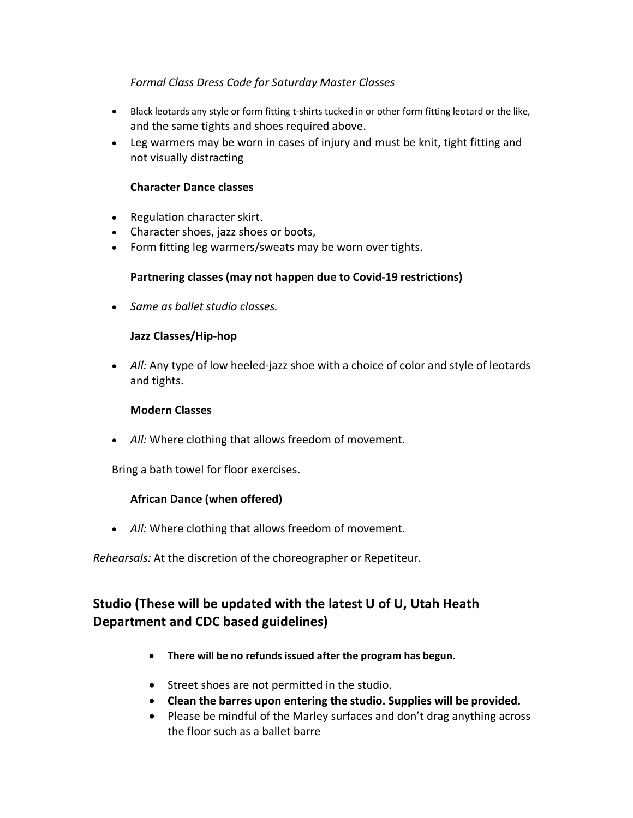### *Formal Class Dress Code for Saturday Master Classes*

- Black leotards any style or form fitting t-shirts tucked in or other form fitting leotard or the like, and the same tights and shoes required above.
- Leg warmers may be worn in cases of injury and must be knit, tight fitting and not visually distracting

### **Character Dance classes**

- Regulation character skirt.
- Character shoes, jazz shoes or boots,
- Form fitting leg warmers/sweats may be worn over tights.

### **Partnering classes (may not happen due to Covid-19 restrictions)**

• *Same as ballet studio classes.*

### **Jazz Classes/Hip-hop**

• *All:* Any type of low heeled-jazz shoe with a choice of color and style of leotards and tights.

#### **Modern Classes**

• *All:* Where clothing that allows freedom of movement.

Bring a bath towel for floor exercises.

### **African Dance (when offered)**

• *All:* Where clothing that allows freedom of movement.

*Rehearsals:* At the discretion of the choreographer or Repetiteur.

# **Studio (These will be updated with the latest U of U, Utah Heath Department and CDC based guidelines)**

- **There will be no refunds issued after the program has begun.**
- Street shoes are not permitted in the studio.
- **Clean the barres upon entering the studio. Supplies will be provided.**
- Please be mindful of the Marley surfaces and don't drag anything across the floor such as a ballet barre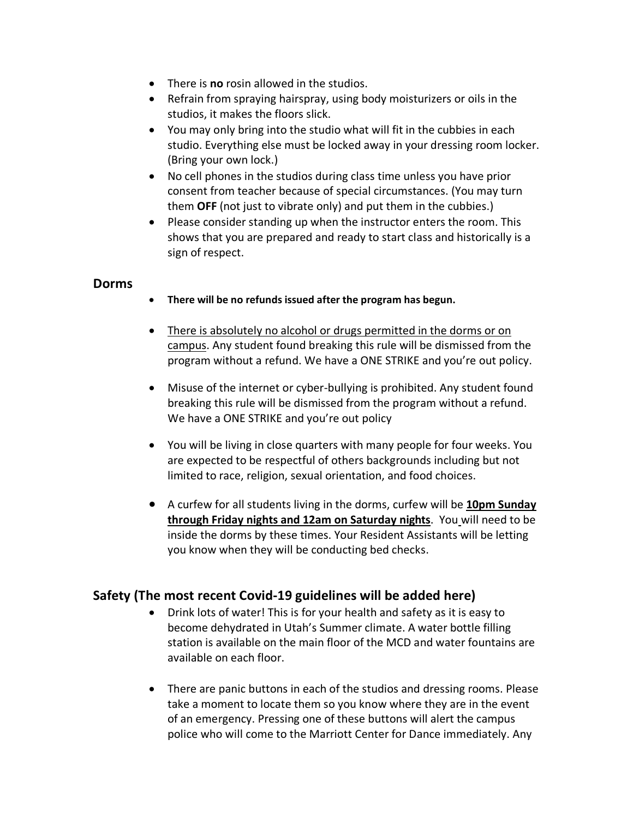- There is **no** rosin allowed in the studios.
- Refrain from spraying hairspray, using body moisturizers or oils in the studios, it makes the floors slick.
- You may only bring into the studio what will fit in the cubbies in each studio. Everything else must be locked away in your dressing room locker. (Bring your own lock.)
- No cell phones in the studios during class time unless you have prior consent from teacher because of special circumstances. (You may turn them **OFF** (not just to vibrate only) and put them in the cubbies.)
- Please consider standing up when the instructor enters the room. This shows that you are prepared and ready to start class and historically is a sign of respect.

## **Dorms**

- **There will be no refunds issued after the program has begun.**
- There is absolutely no alcohol or drugs permitted in the dorms or on campus. Any student found breaking this rule will be dismissed from the program without a refund. We have a ONE STRIKE and you're out policy.
- Misuse of the internet or cyber-bullying is prohibited. Any student found breaking this rule will be dismissed from the program without a refund. We have a ONE STRIKE and you're out policy
- You will be living in close quarters with many people for four weeks. You are expected to be respectful of others backgrounds including but not limited to race, religion, sexual orientation, and food choices.
- A curfew for all students living in the dorms, curfew will be **10pm Sunday through Friday nights and 12am on Saturday nights**. You will need to be inside the dorms by these times. Your Resident Assistants will be letting you know when they will be conducting bed checks.

# **Safety (The most recent Covid-19 guidelines will be added here)**

- Drink lots of water! This is for your health and safety as it is easy to become dehydrated in Utah's Summer climate. A water bottle filling station is available on the main floor of the MCD and water fountains are available on each floor.
- There are panic buttons in each of the studios and dressing rooms. Please take a moment to locate them so you know where they are in the event of an emergency. Pressing one of these buttons will alert the campus police who will come to the Marriott Center for Dance immediately. Any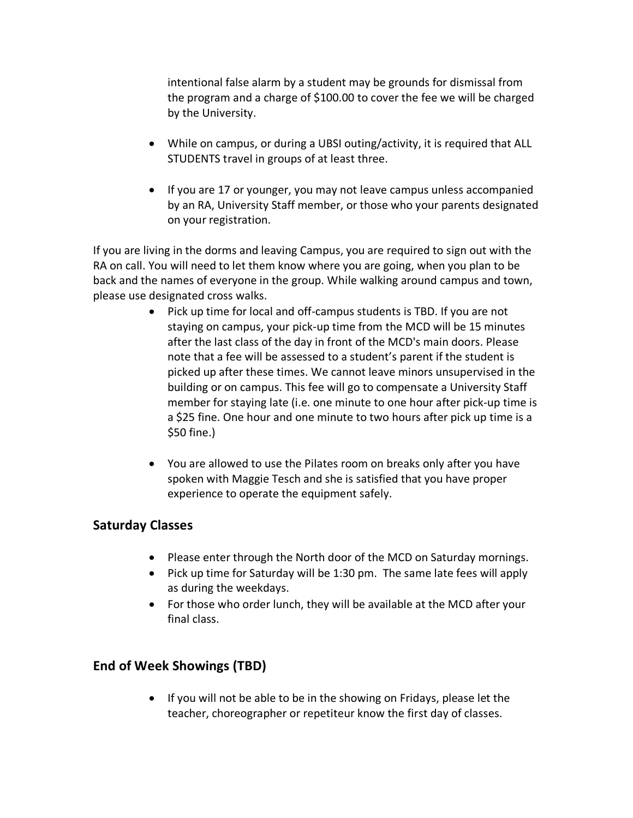intentional false alarm by a student may be grounds for dismissal from the program and a charge of \$100.00 to cover the fee we will be charged by the University.

- While on campus, or during a UBSI outing/activity, it is required that ALL STUDENTS travel in groups of at least three.
- If you are 17 or younger, you may not leave campus unless accompanied by an RA, University Staff member, or those who your parents designated on your registration.

If you are living in the dorms and leaving Campus, you are required to sign out with the RA on call. You will need to let them know where you are going, when you plan to be back and the names of everyone in the group. While walking around campus and town, please use designated cross walks.

- Pick up time for local and off-campus students is TBD. If you are not staying on campus, your pick-up time from the MCD will be 15 minutes after the last class of the day in front of the MCD's main doors. Please note that a fee will be assessed to a student's parent if the student is picked up after these times. We cannot leave minors unsupervised in the building or on campus. This fee will go to compensate a University Staff member for staying late (i.e. one minute to one hour after pick-up time is a \$25 fine. One hour and one minute to two hours after pick up time is a \$50 fine.)
- You are allowed to use the Pilates room on breaks only after you have spoken with Maggie Tesch and she is satisfied that you have proper experience to operate the equipment safely.

# **Saturday Classes**

- Please enter through the North door of the MCD on Saturday mornings.
- Pick up time for Saturday will be 1:30 pm. The same late fees will apply as during the weekdays.
- For those who order lunch, they will be available at the MCD after your final class.

# **End of Week Showings (TBD)**

• If you will not be able to be in the showing on Fridays, please let the teacher, choreographer or repetiteur know the first day of classes.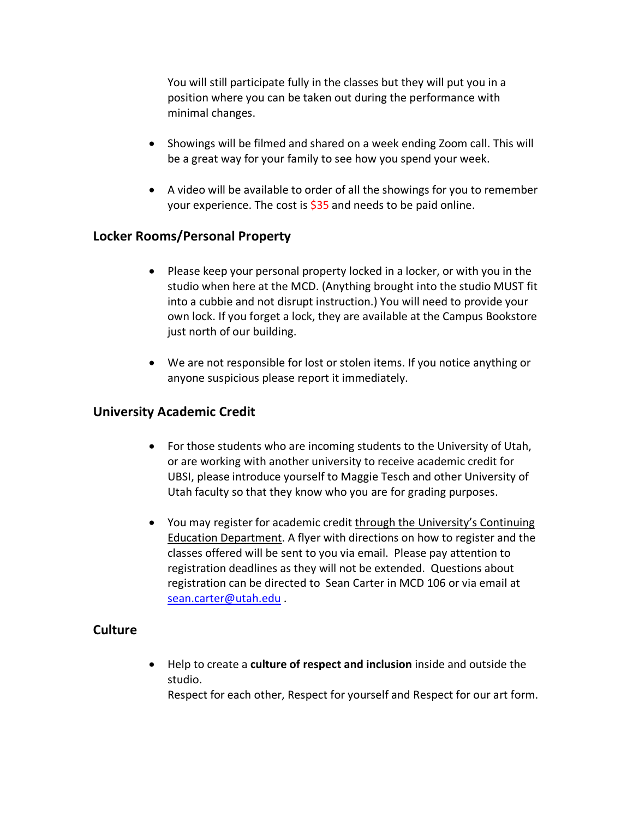You will still participate fully in the classes but they will put you in a position where you can be taken out during the performance with minimal changes.

- Showings will be filmed and shared on a week ending Zoom call. This will be a great way for your family to see how you spend your week.
- A video will be available to order of all the showings for you to remember your experience. The cost is  $$35$  and needs to be paid online.

# **Locker Rooms/Personal Property**

- Please keep your personal property locked in a locker, or with you in the studio when here at the MCD. (Anything brought into the studio MUST fit into a cubbie and not disrupt instruction.) You will need to provide your own lock. If you forget a lock, they are available at the Campus Bookstore just north of our building.
- We are not responsible for lost or stolen items. If you notice anything or anyone suspicious please report it immediately.

### **University Academic Credit**

- For those students who are incoming students to the University of Utah, or are working with another university to receive academic credit for UBSI, please introduce yourself to Maggie Tesch and other University of Utah faculty so that they know who you are for grading purposes.
- You may register for academic credit through the University's Continuing Education Department. A flyer with directions on how to register and the classes offered will be sent to you via email. Please pay attention to registration deadlines as they will not be extended. Questions about registration can be directed to Sean Carter in MCD 106 or via email at sean.carter@utah.edu .

# **Culture**

• Help to create a **culture of respect and inclusion** inside and outside the studio. Respect for each other, Respect for yourself and Respect for our art form.